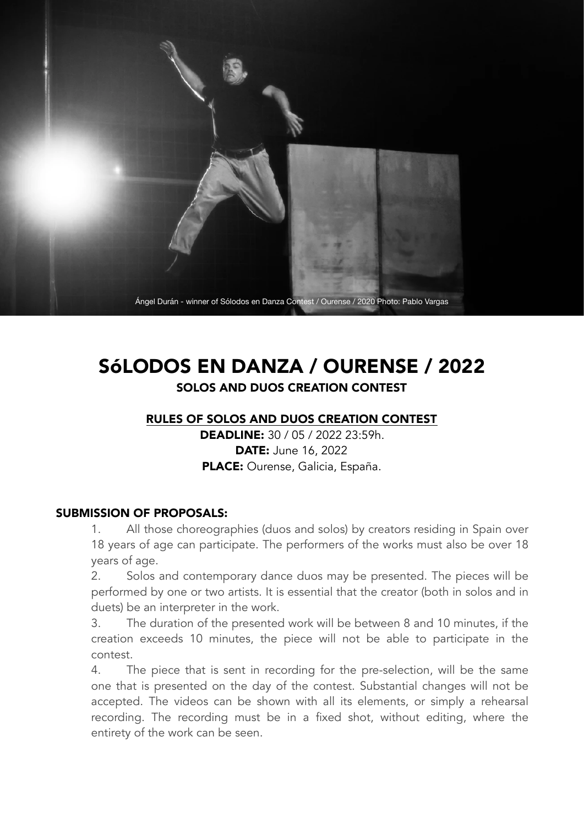

# SóLODOS EN DANZA / OURENSE / 2022 SOLOS AND DUOS CREATION CONTEST

#### RULES OF SOLOS AND DUOS CREATION CONTEST

DEADLINE: 30 / 05 / 2022 23:59h. DATE: June 16, 2022 PLACE: Ourense, Galicia, España.

#### SUBMISSION OF PROPOSALS:

 1. All those choreographies (duos and solos) by creators residing in Spain over 18 years of age can participate. The performers of the works must also be over 18 years of age.

 2. Solos and contemporary dance duos may be presented. The pieces will be performed by one or two artists. It is essential that the creator (both in solos and in duets) be an interpreter in the work.

 3. The duration of the presented work will be between 8 and 10 minutes, if the creation exceeds 10 minutes, the piece will not be able to participate in the contest.

 4. The piece that is sent in recording for the pre-selection, will be the same one that is presented on the day of the contest. Substantial changes will not be accepted. The videos can be shown with all its elements, or simply a rehearsal recording. The recording must be in a fixed shot, without editing, where the entirety of the work can be seen.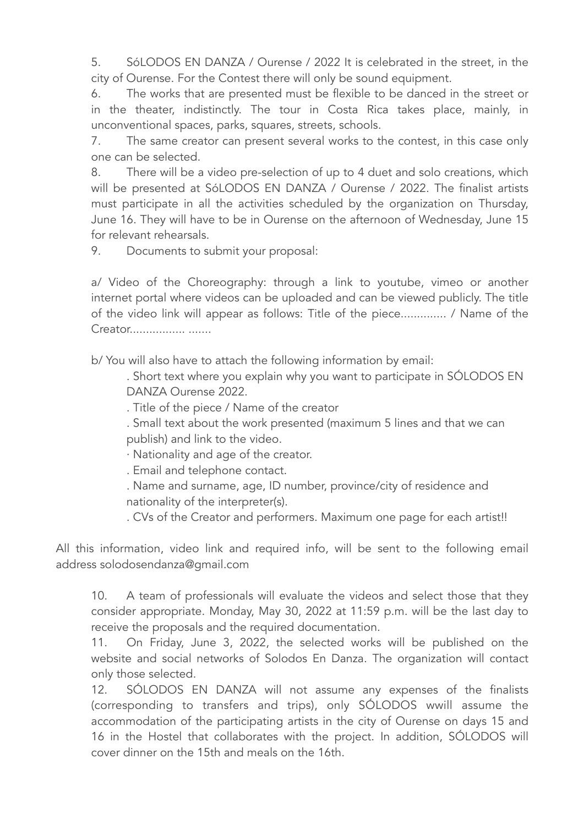5. SóLODOS EN DANZA / Ourense / 2022 It is celebrated in the street, in the city of Ourense. For the Contest there will only be sound equipment.

 6. The works that are presented must be flexible to be danced in the street or in the theater, indistinctly. The tour in Costa Rica takes place, mainly, in unconventional spaces, parks, squares, streets, schools.

 7. The same creator can present several works to the contest, in this case only one can be selected.

 8. There will be a video pre-selection of up to 4 duet and solo creations, which will be presented at SóLODOS EN DANZA / Ourense / 2022. The finalist artists must participate in all the activities scheduled by the organization on Thursday, June 16. They will have to be in Ourense on the afternoon of Wednesday, June 15 for relevant rehearsals.

9. Documents to submit your proposal:

 a/ Video of the Choreography: through a link to youtube, vimeo or another internet portal where videos can be uploaded and can be viewed publicly. The title of the video link will appear as follows: Title of the piece.............. / Name of the Creator................. .......

b/ You will also have to attach the following information by email:

 . Short text where you explain why you want to participate in SÓLODOS EN DANZA Ourense 2022.

. Title of the piece / Name of the creator

 . Small text about the work presented (maximum 5 lines and that we can publish) and link to the video.

· Nationality and age of the creator.

. Email and telephone contact.

 . Name and surname, age, ID number, province/city of residence and nationality of the interpreter(s).

. CVs of the Creator and performers. Maximum one page for each artist!!

All this information, video link and required info, will be sent to the following email address solodosendanza@gmail.com

 10. A team of professionals will evaluate the videos and select those that they consider appropriate. Monday, May 30, 2022 at 11:59 p.m. will be the last day to receive the proposals and the required documentation.

 11. On Friday, June 3, 2022, the selected works will be published on the website and social networks of Solodos En Danza. The organization will contact only those selected.

 12. SÓLODOS EN DANZA will not assume any expenses of the finalists (corresponding to transfers and trips), only SÓLODOS wwill assume the accommodation of the participating artists in the city of Ourense on days 15 and 16 in the Hostel that collaborates with the project. In addition, SÓLODOS will cover dinner on the 15th and meals on the 16th.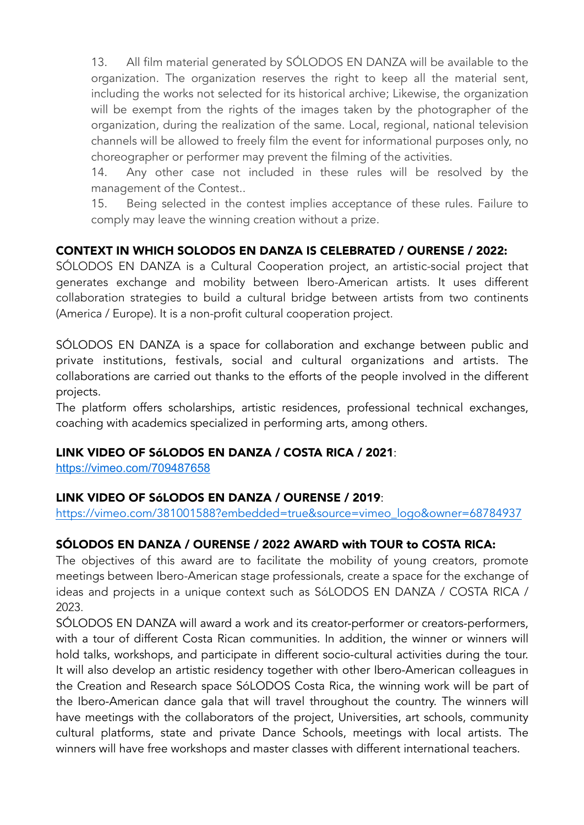13. All film material generated by SÓLODOS EN DANZA will be available to the organization. The organization reserves the right to keep all the material sent, including the works not selected for its historical archive; Likewise, the organization will be exempt from the rights of the images taken by the photographer of the organization, during the realization of the same. Local, regional, national television channels will be allowed to freely film the event for informational purposes only, no choreographer or performer may prevent the filming of the activities.

 14. Any other case not included in these rules will be resolved by the management of the Contest..

 15. Being selected in the contest implies acceptance of these rules. Failure to comply may leave the winning creation without a prize.

## CONTEXT IN WHICH SOLODOS EN DANZA IS CELEBRATED / OURENSE / 2022:

SÓLODOS EN DANZA is a Cultural Cooperation project, an artistic-social project that generates exchange and mobility between Ibero-American artists. It uses different collaboration strategies to build a cultural bridge between artists from two continents (America / Europe). It is a non-profit cultural cooperation project.

SÓLODOS EN DANZA is a space for collaboration and exchange between public and private institutions, festivals, social and cultural organizations and artists. The collaborations are carried out thanks to the efforts of the people involved in the different projects.

The platform offers scholarships, artistic residences, professional technical exchanges, coaching with academics specialized in performing arts, among others.

#### LINK VIDEO OF SóLODOS EN DANZA / COSTA RICA / 2021:

<https://vimeo.com/709487658>

#### LINK VIDEO OF SóLODOS EN DANZA / OURENSE / 2019:

[https://vimeo.com/381001588?embedded=true&source=vimeo\\_logo&owner=68784937](https://vimeo.com/381001588?embedded=true&source=vimeo_logo&owner=68784937)

## SÓLODOS EN DANZA / OURENSE / 2022 AWARD with TOUR to COSTA RICA:

The objectives of this award are to facilitate the mobility of young creators, promote meetings between Ibero-American stage professionals, create a space for the exchange of ideas and projects in a unique context such as SóLODOS EN DANZA / COSTA RICA / 2023.

SÓLODOS EN DANZA will award a work and its creator-performer or creators-performers, with a tour of different Costa Rican communities. In addition, the winner or winners will hold talks, workshops, and participate in different socio-cultural activities during the tour. It will also develop an artistic residency together with other Ibero-American colleagues in the Creation and Research space SóLODOS Costa Rica, the winning work will be part of the Ibero-American dance gala that will travel throughout the country. The winners will have meetings with the collaborators of the project, Universities, art schools, community cultural platforms, state and private Dance Schools, meetings with local artists. The winners will have free workshops and master classes with different international teachers.